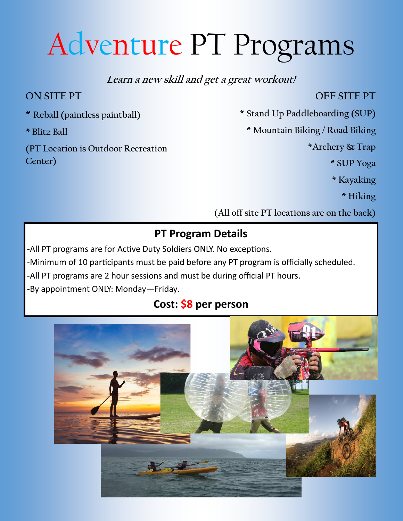# Adventure PT Programs

### **Learn a new skill and get a great workout!**

## **ON SITE PT**

**\* Reball (paintless paintball)**

**\* Blitz Ball**

**(PT Location is Outdoor Recreation Center)** 

#### **OFF SITE PT**

**\* Stand Up Paddleboarding (SUP)**

**\* Mountain Biking / Road Biking**

**\*Archery & Trap**

**\* SUP Yoga**

**\* Kayaking**

**\* Hiking**

**(All off site PT locations are on the back)** 

## **PT Program Details**

-All PT programs are for Active Duty Soldiers ONLY. No exceptions.

-Minimum of 10 participants must be paid before any PT program is officially scheduled.

-All PT programs are 2 hour sessions and must be during official PT hours.

-By appointment ONLY: Monday—Friday.

# **Cost: \$8 per person**